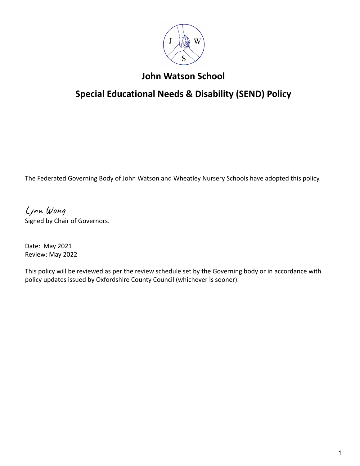

# **John Watson School**

# **Special Educational Needs & Disability (SEND) Policy**

The Federated Governing Body of John Watson and Wheatley Nursery Schools have adopted this policy.

Lynn Wong Signed by Chair of Governors.

Date: May 2021 Review: May 2022

This policy will be reviewed as per the review schedule set by the Governing body or in accordance with policy updates issued by Oxfordshire County Council (whichever is sooner).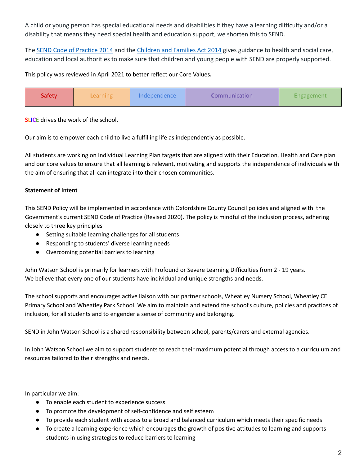A child or young person has special educational needs and disabilities if they have a learning difficulty and/or a disability that means they need special health and education support, we shorten this to SEND.

The SEND Code of [Practice](https://www.gov.uk/government/uploads/system/uploads/attachment_data/file/398815/SEND_Code_of_Practice_January_2015.pdf) 2014 and the [Children](http://www.legislation.gov.uk/ukpga/2014/6/contents/enacted) and Families Act 2014 gives guidance to health and social care, education and local authorities to make sure that children and young people with SEND are properly supported.

This policy was reviewed in April 2021 to better reflect our Core Values**.**



**SLICE** drives the work of the school.

Our aim is to empower each child to live a fulfilling life as independently as possible.

All students are working on Individual Learning Plan targets that are aligned with their Education, Health and Care plan and our core values to ensure that all learning is relevant, motivating and supports the independence of individuals with the aim of ensuring that all can integrate into their chosen communities.

# **Statement of Intent**

This SEND Policy will be implemented in accordance with Oxfordshire County Council policies and aligned with the Government's current SEND Code of Practice (Revised 2020). The policy is mindful of the inclusion process, adhering closely to three key principles

- Setting suitable learning challenges for all students
- Responding to students' diverse learning needs
- Overcoming potential barriers to learning

John Watson School is primarily for learners with Profound or Severe Learning Difficulties from 2 - 19 years. We believe that every one of our students have individual and unique strengths and needs.

The school supports and encourages active liaison with our partner schools, Wheatley Nursery School, Wheatley CE Primary School and Wheatley Park School. We aim to maintain and extend the school's culture, policies and practices of inclusion, for all students and to engender a sense of community and belonging.

SEND in John Watson School is a shared responsibility between school, parents/carers and external agencies.

In John Watson School we aim to support students to reach their maximum potential through access to a curriculum and resources tailored to their strengths and needs.

In particular we aim:

- To enable each student to experience success
- To promote the development of self-confidence and self esteem
- To provide each student with access to a broad and balanced curriculum which meets their specific needs
- To create a learning experience which encourages the growth of positive attitudes to learning and supports students in using strategies to reduce barriers to learning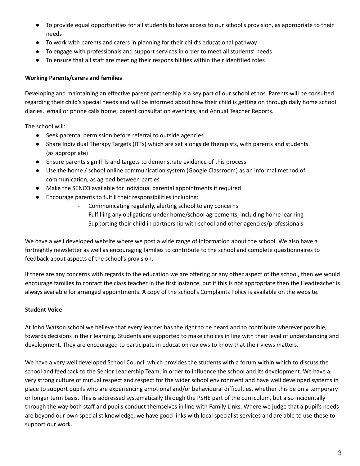- To provide equal opportunities for all students to have access to our school's provision, as appropriate to their needs
- To work with parents and carers in planning for their child's educational pathway
- To engage with professionals and support services in order to meet all students' needs
- To ensure that all staff are meeting their responsibilities within their identified roles

# **Working Parents/carers and families**

Developing and maintaining an effective parent partnership is a key part of our school ethos. Parents will be consulted regarding their child's special needs and will be informed about how their child is getting on through daily home school diaries, email or phone calls home; parent consultation evenings; and Annual Teacher Reports.

The school will:

- Seek parental permission before referral to outside agencies
- Share Individual Therapy Targets (ITTs) which are set alongside therapists, with parents and students (as appropriate)
- Ensure parents sign ITTs and targets to demonstrate evidence of this process
- Use the home / school online communication system (Google Classroom) as an informal method of communication, as agreed between parties
- Make the SENCO available for individual parental appointments if required
- Encourage parents to fulfill their responsibilities including:
	- Communicating regularly, alerting school to any concerns
	- Fulfilling any obligations under home/school agreements, including home learning
	- Supporting their child in partnership with school and other agencies/professionals

We have a well developed website where we post a wide range of information about the school. We also have a fortnightly newsletter as well as encouraging families to contribute to the school and complete questionnaires to feedback about aspects of the school's provision.

If there are any concerns with regards to the education we are offering or any other aspect of the school, then we would encourage families to contact the class teacher in the first instance, but if this is not appropriate then the Headteacher is always available for arranged appointments. A copy of the school's Complaints Policy is available on the website.

# **Student Voice**

At John Watson school we believe that every learner has the right to be heard and to contribute wherever possible, towards decisions in their learning. Students are supported to make choices in line with their level of understanding and development. They are encouraged to participate in education reviews to know that their views matters.

We have a very well developed School Council which provides the students with a forum within which to discuss the school and feedback to the Senior Leadership Team, in order to influence the school and its development. We have a very strong culture of mutual respect and respect for the wider school environment and have well developed systems in place to support pupils who are experiencing emotional and/or behavioural difficulties, whether this be on a temporary or longer term basis. This is addressed systematically through the PSHE part of the curriculum, but also incidentally through the way both staff and pupils conduct themselves in line with Family Links. Where we judge that a pupil's needs are beyond our own specialist knowledge, we have good links with local specialist services and are able to use these to support our work.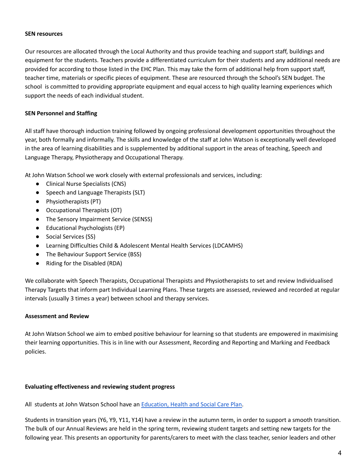#### **SEN resources**

Our resources are allocated through the Local Authority and thus provide teaching and support staff, buildings and equipment for the students. Teachers provide a differentiated curriculum for their students and any additional needs are provided for according to those listed in the EHC Plan. This may take the form of additional help from support staff, teacher time, materials or specific pieces of equipment. These are resourced through the School's SEN budget. The school is committed to providing appropriate equipment and equal access to high quality learning experiences which support the needs of each individual student.

#### **SEN Personnel and Staffing**

All staff have thorough induction training followed by ongoing professional development opportunities throughout the year, both formally and informally. The skills and knowledge of the staff at John Watson is exceptionally well developed in the area of learning disabilities and is supplemented by additional support in the areas of teaching, Speech and Language Therapy, Physiotherapy and Occupational Therapy.

At John Watson School we work closely with external professionals and services, including:

- Clinical Nurse Specialists (CNS)
- Speech and Language Therapists (SLT)
- Physiotherapists (PT)
- Occupational Therapists (OT)
- The Sensory Impairment Service (SENSS)
- Educational Psychologists (EP)
- Social Services (SS)
- Learning Difficulties Child & Adolescent Mental Health Services (LDCAMHS)
- The Behaviour Support Service (BSS)
- Riding for the Disabled (RDA)

We collaborate with Speech Therapists, Occupational Therapists and Physiotherapists to set and review Individualised Therapy Targets that inform part Individual Learning Plans. These targets are assessed, reviewed and recorded at regular intervals (usually 3 times a year) between school and therapy services.

#### **Assessment and Review**

At John Watson School we aim to embed positive behaviour for learning so that students are empowered in maximising their learning opportunities. This is in line with our Assessment, Recording and Reporting and Marking and Feedback policies.

#### **Evaluating effectiveness and reviewing student progress**

All students at John Watson School have an [Education,](https://docs.google.com/a/johnwatsonschool.org/file/d/0Byv-H1CsJ67Va041UkV4azRQS1k/edit) Health and Social Care Plan.

Students in transition years (Y6, Y9, Y11, Y14) have a review in the autumn term, in order to support a smooth transition. The bulk of our Annual Reviews are held in the spring term, reviewing student targets and setting new targets for the following year. This presents an opportunity for parents/carers to meet with the class teacher, senior leaders and other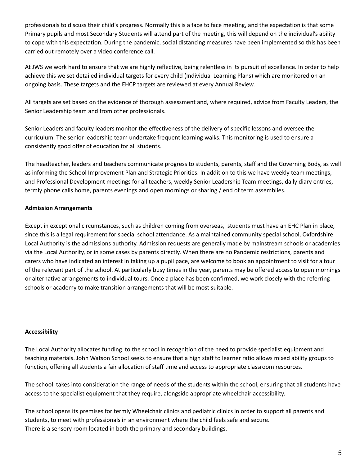professionals to discuss their child's progress. Normally this is a face to face meeting, and the expectation is that some Primary pupils and most Secondary Students will attend part of the meeting, this will depend on the individual's ability to cope with this expectation. During the pandemic, social distancing measures have been implemented so this has been carried out remotely over a video conference call.

At JWS we work hard to ensure that we are highly reflective, being relentless in its pursuit of excellence. In order to help achieve this we set detailed individual targets for every child (Individual Learning Plans) which are monitored on an ongoing basis. These targets and the EHCP targets are reviewed at every Annual Review.

All targets are set based on the evidence of thorough assessment and, where required, advice from Faculty Leaders, the Senior Leadership team and from other professionals.

Senior Leaders and faculty leaders monitor the effectiveness of the delivery of specific lessons and oversee the curriculum. The senior leadership team undertake frequent learning walks. This monitoring is used to ensure a consistently good offer of education for all students.

The headteacher, leaders and teachers communicate progress to students, parents, staff and the Governing Body, as well as informing the School Improvement Plan and Strategic Priorities. In addition to this we have weekly team meetings, and Professional Development meetings for all teachers, weekly Senior Leadership Team meetings, daily diary entries, termly phone calls home, parents evenings and open mornings or sharing / end of term assemblies.

# **Admission Arrangements**

Except in exceptional circumstances, such as children coming from overseas, students must have an EHC Plan in place, since this is a legal requirement for special school attendance. As a maintained community special school, Oxfordshire Local Authority is the admissions authority. Admission requests are generally made by mainstream schools or academies via the Local Authority, or in some cases by parents directly. When there are no Pandemic restrictions, parents and carers who have indicated an interest in taking up a pupil pace, are welcome to book an appointment to visit for a tour of the relevant part of the school. At particularly busy times in the year, parents may be offered access to open mornings or alternative arrangements to individual tours. Once a place has been confirmed, we work closely with the referring schools or academy to make transition arrangements that will be most suitable.

# **Accessibility**

The Local Authority allocates funding to the school in recognition of the need to provide specialist equipment and teaching materials. John Watson School seeks to ensure that a high staff to learner ratio allows mixed ability groups to function, offering all students a fair allocation of staff time and access to appropriate classroom resources.

The school takes into consideration the range of needs of the students within the school, ensuring that all students have access to the specialist equipment that they require, alongside appropriate wheelchair accessibility.

The school opens its premises for termly Wheelchair clinics and pediatric clinics in order to support all parents and students, to meet with professionals in an environment where the child feels safe and secure. There is a sensory room located in both the primary and secondary buildings.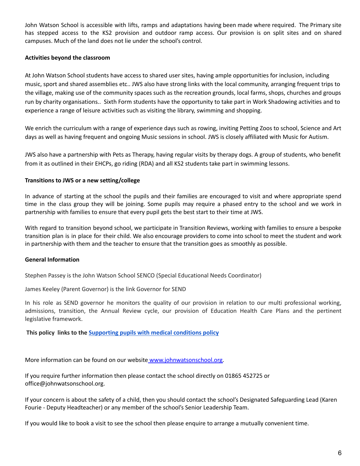John Watson School is accessible with lifts, ramps and adaptations having been made where required. The Primary site has stepped access to the KS2 provision and outdoor ramp access. Our provision is on split sites and on shared campuses. Much of the land does not lie under the school's control.

#### **Activities beyond the classroom**

At John Watson School students have access to shared user sites, having ample opportunities for inclusion, including music, sport and shared assemblies etc.. JWS also have strong links with the local community, arranging frequent trips to the village, making use of the community spaces such as the recreation grounds, local farms, shops, churches and groups run by charity organisations.. Sixth Form students have the opportunity to take part in Work Shadowing activities and to experience a range of leisure activities such as visiting the library, swimming and shopping.

We enrich the curriculum with a range of experience days such as rowing, inviting Petting Zoos to school, Science and Art days as well as having frequent and ongoing Music sessions in school. JWS is closely affiliated with Music for Autism.

JWS also have a partnership with Pets as Therapy, having regular visits by therapy dogs. A group of students, who benefit from it as outlined in their EHCPs, go riding (RDA) and all KS2 students take part in swimming lessons.

#### **Transitions to JWS or a new setting/college**

In advance of starting at the school the pupils and their families are encouraged to visit and where appropriate spend time in the class group they will be joining. Some pupils may require a phased entry to the school and we work in partnership with families to ensure that every pupil gets the best start to their time at JWS.

With regard to transition beyond school, we participate in Transition Reviews, working with families to ensure a bespoke transition plan is in place for their child. We also encourage providers to come into school to meet the student and work in partnership with them and the teacher to ensure that the transition goes as smoothly as possible.

#### **General Information**

Stephen Passey is the John Watson School SENCO (Special Educational Needs Coordinator)

James Keeley (Parent Governor) is the link Governor for SEND

In his role as SEND governor he monitors the quality of our provision in relation to our multi professional working, admissions, transition, the Annual Review cycle, our provision of Education Health Care Plans and the pertinent legislative framework.

# **This policy links to the [Supporting](http://www.johnwatsonschool.org/wp-content/uploads/jwatsonscans@gmail.com_20201208_124801.pdf) pupils with medical conditions policy**

More information can be found on our website www.j[ohnwatsonschool.org.](http://www.johnwatsonschool.org/)

If you require further information then please contact the school directly on 01865 452725 or office@johnwatsonschool.org.

If your concern is about the safety of a child, then you should contact the school's Designated Safeguarding Lead (Karen Fourie - Deputy Headteacher) or any member of the school's Senior Leadership Team.

If you would like to book a visit to see the school then please enquire to arrange a mutually convenient time.